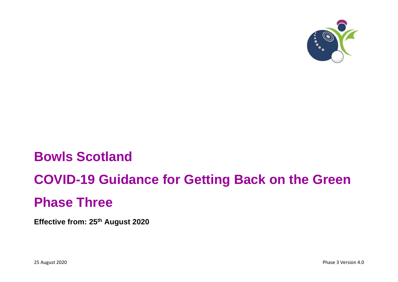

# **Bowls Scotland**

# **COVID-19 Guidance for Getting Back on the Green**

# **Phase Three**

**Effective from: 25 th August 2020**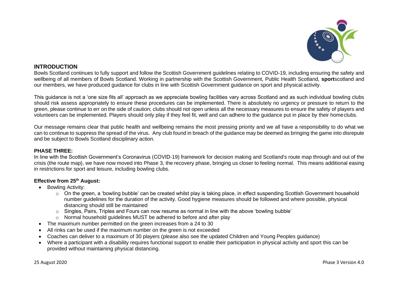

### **INTRODUCTION**

Bowls Scotland continues to fully support and follow the Scottish Government guidelines relating to COVID-19, including ensuring the safety and wellbeing of all members of Bowls Scotland. Working in partnership with the Scottish Government, Public Health Scotland, **sport**scotland and our members, we have produced guidance for clubs in line with Scottish Government guidance on sport and physical activity.

This guidance is not a 'one size fits all' approach as we appreciate bowling facilities vary across Scotland and as such individual bowling clubs should risk assess appropriately to ensure these procedures can be implemented. There is absolutely no urgency or pressure to return to the green, please continue to err on the side of caution; clubs should not open unless all the necessary measures to ensure the safety of players and volunteers can be implemented. Players should only play if they feel fit, well and can adhere to the guidance put in place by their homeclubs.

Our message remains clear that public health and wellbeing remains the most pressing priority and we all have a responsibility to do what we can to continue to suppress the spread of the virus. Any club found in breach of the guidance may be deemed as bringing the game into disrepute and be subject to Bowls Scotland disciplinary action.

#### **PHASE THREE:**

In line with the Scottish Government's Coronavirus (COVID-19) framework for decision making and Scotland's route map through and out of the crisis (the route map), we have now moved into Phase 3, the recovery phase, bringing us closer to feeling normal. This means additional easing in restrictions for sport and leisure, including bowling clubs.

#### **Effective from 25 th August:**

- Bowling Activity:
	- o On the green, a 'bowling bubble' can be created whilst play is taking place, in effect suspending Scottish Government household number guidelines for the duration of the activity. Good hygiene measures should be followed and where possible, physical distancing should still be maintained
	- o Singles, Pairs, Triples and Fours can now resume as normal in line with the above 'bowling bubble'
	- o Normal household guidelines MUST be adhered to before and after play
- The maximum number permitted on the green increases from a 24 to 30
- All rinks can be used if the maximum number on the green is not exceeded
- Coaches can deliver to a maximum of 30 players (please also see the updated Children and Young Peoples guidance)
- Where a participant with a disability requires functional support to enable their participation in physical activity and sport this can be provided without maintaining physical distancing.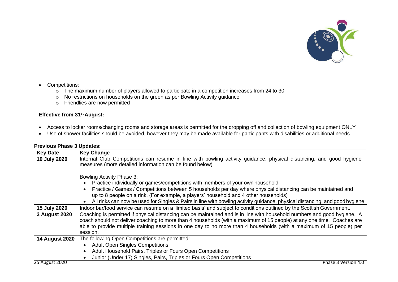

- Competitions:
	- $\circ$  The maximum number of players allowed to participate in a competition increases from 24 to 30
	- o No restrictions on households on the green as per Bowling Activity guidance
	- o Friendlies are now permitted

#### **Effective from 31st August:**

- Access to locker rooms/changing rooms and storage areas is permitted for the dropping off and collection of bowling equipment ONLY
- Use of shower facilities should be avoided, however they may be made available for participants with disabilities or additional needs

| <b>Key Date</b>       | <b>Key Change</b>                                                                                                           |
|-----------------------|-----------------------------------------------------------------------------------------------------------------------------|
| 10 July 2020          | Internal Club Competitions can resume in line with bowling activity guidance, physical distancing, and good hygiene         |
|                       | measures (more detailed information can be found below)                                                                     |
|                       |                                                                                                                             |
|                       | Bowling Activity Phase 3:                                                                                                   |
|                       | Practice individually or games/competitions with members of your own household                                              |
|                       | Practice / Games / Competitions between 5 households per day where physical distancing can be maintained and                |
|                       | up to 8 people on a rink. (For example, a players' household and 4 other households)                                        |
|                       | All rinks can now be used for Singles & Pairs in line with bowling activity guidance, physical distancing, and good hygiene |
| 15 July 2020          | Indoor bar/food service can resume on a 'limited basis' and subject to conditions outlined by the Scottish Government.      |
| 3 August 2020         | Coaching is permitted if physical distancing can be maintained and is in line with household numbers and good hygiene. A    |
|                       | coach should not deliver coaching to more than 4 households (with a maximum of 15 people) at any one time. Coaches are      |
|                       | able to provide multiple training sessions in one day to no more than 4 households (with a maximum of 15 people) per        |
|                       | session.                                                                                                                    |
| <b>14 August 2020</b> | The following Open Competitions are permitted:                                                                              |
|                       | <b>Adult Open Singles Competitions</b><br>$\bullet$                                                                         |
|                       | Adult Household Pairs, Triples or Fours Open Competitions<br>$\bullet$                                                      |
|                       | Junior (Under 17) Singles, Pairs, Triples or Fours Open Competitions                                                        |
| 25 August 2020        | Phase 3 Version 4.0                                                                                                         |

#### **Previous Phase 3 Updates:**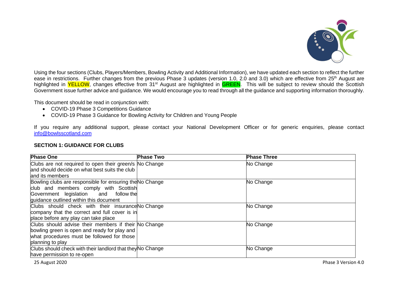

Using the four sections (Clubs, Players/Members, Bowling Activity and Additional Information), we have updated each section to reflect the further ease in restrictions. Further changes from the previous Phase 3 updates (version 1.0, 2.0 and 3.0) which are effective from 25<sup>th</sup> August are highlighted in YELLOW, changes effective from 31<sup>st</sup> August are highlighted in **GREEN**. This will be subject to review should the Scottish Government issue further advice and guidance. We would encourage you to read through all the guidance and supporting information thoroughly.

This document should be read in conjunction with:

- COVID-19 Phase 3 Competitions Guidance
- COVID-19 Phase 3 Guidance for Bowling Activity for Children and Young People

If you require any additional support, please contact your National Development Officer or for generic enquiries, please contact [info@bowlsscotland.com](mailto:info@bowlsscotland.com)

#### **SECTION 1: GUIDANCE FOR CLUBS**

| <b>Phase One</b>                                           | <b>Phase Two</b> | <b>Phase Three</b> |
|------------------------------------------------------------|------------------|--------------------|
| Clubs are not required to open their green/s No Change     |                  | No Change          |
| and should decide on what best suits the club              |                  |                    |
| and its members                                            |                  |                    |
| Bowling clubs are responsible for ensuring the No Change   |                  | No Change          |
| club and members comply with Scottish                      |                  |                    |
| Government legislation and follow the                      |                  |                    |
| guidance outlined within this document                     |                  |                    |
| Clubs should check with their insurance No Change          |                  | No Change          |
| company that the correct and full cover is in              |                  |                    |
| place before any play can take place                       |                  |                    |
| Clubs should advise their members if their No Change       |                  | No Change          |
| bowling green is open and ready for play and               |                  |                    |
| what procedures must be followed for those                 |                  |                    |
| planning to play                                           |                  |                    |
| Clubs should check with their landlord that they No Change |                  | No Change          |
| have permission to re-open                                 |                  |                    |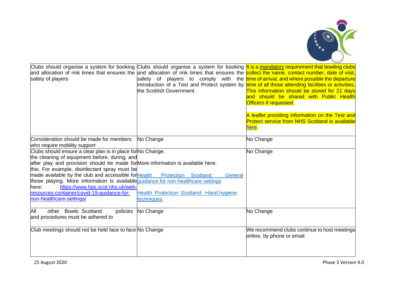

| safety of players                                                                                                                                                                                                                                                                                                                                                                                                                                                                                                                         | the Scottish Government                                           | Clubs should organise a system for booking Clubs should organise a system for booking It is a mandatory requirement that bowling clubs<br>and allocation of rink times that ensures the and allocation of rink times that ensures the collect the name, contact number, date of visit,<br>safety of players to comply with the time of arrival, and where possible the departure<br>introduction of a Test and Protect system by <i>time of all those attending facilities or activities</i> .<br>This information should be stored for 21 days<br>and should be shared with Public Health<br>Officers if requested.<br>A leaflet providing information on the Test and<br><b>Protect service from NHS Scotland is available</b><br>here. |
|-------------------------------------------------------------------------------------------------------------------------------------------------------------------------------------------------------------------------------------------------------------------------------------------------------------------------------------------------------------------------------------------------------------------------------------------------------------------------------------------------------------------------------------------|-------------------------------------------------------------------|-------------------------------------------------------------------------------------------------------------------------------------------------------------------------------------------------------------------------------------------------------------------------------------------------------------------------------------------------------------------------------------------------------------------------------------------------------------------------------------------------------------------------------------------------------------------------------------------------------------------------------------------------------------------------------------------------------------------------------------------|
| Consideration should be made for members<br>who require mobility support                                                                                                                                                                                                                                                                                                                                                                                                                                                                  | No Change                                                         | No Change                                                                                                                                                                                                                                                                                                                                                                                                                                                                                                                                                                                                                                                                                                                                 |
| Clubs should ensure a clear plan is in place for No Change.<br>the cleaning of equipment before, during, and<br>after play and provision should be made for More information is available here:<br>this. For example, disinfectant spray must be<br>made available by the club and accessible for Health Protection Scotland:<br>those playing. More information is available quidance for non-healthcare settings<br>https://www.hps.scot.nhs.uk/web-<br>here:<br>resources-container/covid-19-guidance-for-<br>non-healthcare-settings/ | General<br>Health Protection Scotland: Hand hygiene<br>techniques | No Change                                                                                                                                                                                                                                                                                                                                                                                                                                                                                                                                                                                                                                                                                                                                 |
| other Bowls Scotland<br>All<br>policies<br>and procedures must be adhered to                                                                                                                                                                                                                                                                                                                                                                                                                                                              | No Change                                                         | No Change                                                                                                                                                                                                                                                                                                                                                                                                                                                                                                                                                                                                                                                                                                                                 |
| Club meetings should not be held face to face No Change                                                                                                                                                                                                                                                                                                                                                                                                                                                                                   |                                                                   | We recommend clubs continue to host meetings<br>online, by phone or email.                                                                                                                                                                                                                                                                                                                                                                                                                                                                                                                                                                                                                                                                |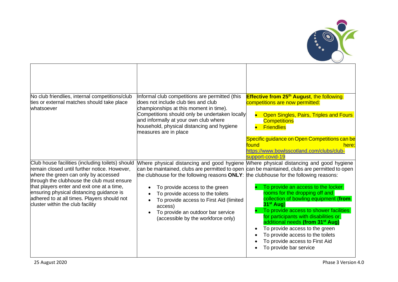

| No club friendlies, internal competitions/club<br>ties or external matches should take place<br>whatsoever                                                                                                                                                                                                                                                          | Informal club competitions are permitted (this<br>does not include club ties and club<br>championships at this moment in time).<br>Competitions should only be undertaken locally<br>and informally at your own club where<br>household, physical distancing and hygiene<br>measures are in place                                                                                                                                                                                                       | <b>Effective from 25<sup>th</sup> August</b> , the following<br>competitions are now permitted:<br><b>Open Singles, Pairs, Triples and Fours</b><br><b>Competitions</b><br><b>Friendlies</b>                                                                                                                                                                                                      |
|---------------------------------------------------------------------------------------------------------------------------------------------------------------------------------------------------------------------------------------------------------------------------------------------------------------------------------------------------------------------|---------------------------------------------------------------------------------------------------------------------------------------------------------------------------------------------------------------------------------------------------------------------------------------------------------------------------------------------------------------------------------------------------------------------------------------------------------------------------------------------------------|---------------------------------------------------------------------------------------------------------------------------------------------------------------------------------------------------------------------------------------------------------------------------------------------------------------------------------------------------------------------------------------------------|
|                                                                                                                                                                                                                                                                                                                                                                     |                                                                                                                                                                                                                                                                                                                                                                                                                                                                                                         | Specific guidance on Open Competitions can be<br>found<br>here:<br>https://www.bowlsscotland.com/clubs/club-<br>support-covid-19                                                                                                                                                                                                                                                                  |
| Club house facilities (including toilets) should<br>remain closed until further notice. However,<br>where the green can only by accessed<br>through the clubhouse the club must ensure<br>that players enter and exit one at a time,<br>ensuring physical distancing guidance is<br>adhered to at all times. Players should not<br>cluster within the club facility | Where physical distancing and good hygiene Mhere physical distancing and good hygiene<br>can be maintained, clubs are permitted to open can be maintained, clubs are permitted to open<br>the clubhouse for the following reasons $ONLY$ : the clubhouse for the following reasons:<br>To provide access to the green<br>$\bullet$<br>To provide access to the toilets<br>To provide access to First Aid (limited<br>access)<br>To provide an outdoor bar service<br>(accessible by the workforce only) | To provide an access to the locker<br>rooms for the dropping off and<br>collection of bowling equipment (from<br>$31st$ Aug)<br>To provide access to shower facilities<br>for participants with disabilities or<br>additional needs (from 31 <sup>st</sup> Aug)<br>To provide access to the green<br>To provide access to the toilets<br>To provide access to First Aid<br>To provide bar service |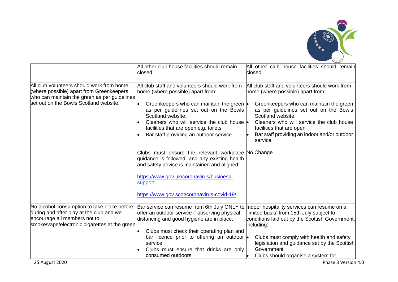

|                                                                                                                                                                                 | All other club house facilities should remain<br>closed                                                                                                                                                                                                                                                                                          | All other club house facilities should remain<br>closed                                                                                                                                                                                                                                                                          |
|---------------------------------------------------------------------------------------------------------------------------------------------------------------------------------|--------------------------------------------------------------------------------------------------------------------------------------------------------------------------------------------------------------------------------------------------------------------------------------------------------------------------------------------------|----------------------------------------------------------------------------------------------------------------------------------------------------------------------------------------------------------------------------------------------------------------------------------------------------------------------------------|
| All club volunteers should work from home<br>(where possible) apart from Greenkeepers<br>who can maintain the green as per guidelines<br>set out on the Bowls Scotland website. | All club staff and volunteers should work from<br>home (where possible) apart from:<br>Greenkeepers who can maintain the green $\bullet$<br>as per guidelines set out on the Bowls<br>Scotland website.<br>Cleaners who will service the club house $\bullet$<br>facilities that are open e.g. toilets<br>Bar staff providing an outdoor service | All club staff and volunteers should work from<br>home (where possible) apart from:<br>Greenkeepers who can maintain the green<br>as per guidelines set out on the Bowls<br>Scotland website.<br>Cleaners who will service the club house<br>facilities that are open<br>Bar staff providing an indoor and/or outdoor<br>service |
|                                                                                                                                                                                 | Clubs must ensure the relevant workplace No Change<br>guidance is followed, and any existing health<br>and safety advice is maintained and aligned<br>https://www.gov.uk/coronavirus/business-<br>support<br>https://www.gov.scot/coronavirus-covid-19/                                                                                          |                                                                                                                                                                                                                                                                                                                                  |
| No alcohol consumption to take place before,<br>during and after play at the club and we<br>encourage all members not to<br>smoke/vape/electronic cigarettes at the green       | Bar service can resume from 6th July ONLY to<br>offer an outdoor service if observing physical<br>distancing and good hygiene are in place.<br>Clubs must check their operating plan and<br>bar licence prior to offering an outdoor<br>service<br>Clubs must ensure that drinks are only<br>consumed outdoors                                   | Indoor hospitality services can resume on a<br>limited basis' from 15th July subject to<br>conditions laid out by the Scottish Government,<br>including:<br>Clubs must comply with health and safety<br>legislation and guidance set by the Scottish<br>Government<br>Clubs should organise a system for                         |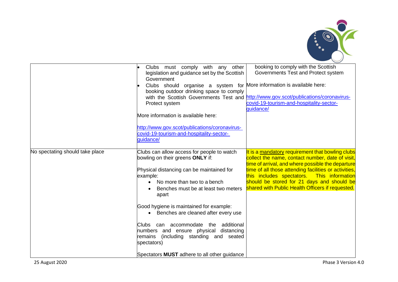

|                                 | Clubs must comply with any other<br>legislation and guidance set by the Scottish<br>Government<br>Clubs should organise a system for More information is available here:<br>booking outdoor drinking space to comply<br>Protect system<br>More information is available here:                                                                                                                                                                                                                                            | booking to comply with the Scottish<br>Governments Test and Protect system<br>with the Scottish Governments Test and http://www.gov.scot/publications/coronavirus-<br>covid-19-tourism-and-hospitality-sector-<br>quidance/                                                                                                                                        |
|---------------------------------|--------------------------------------------------------------------------------------------------------------------------------------------------------------------------------------------------------------------------------------------------------------------------------------------------------------------------------------------------------------------------------------------------------------------------------------------------------------------------------------------------------------------------|--------------------------------------------------------------------------------------------------------------------------------------------------------------------------------------------------------------------------------------------------------------------------------------------------------------------------------------------------------------------|
|                                 | http://www.gov.scot/publications/coronavirus-<br>covid-19-tourism-and-hospitality-sector-<br>quidance/                                                                                                                                                                                                                                                                                                                                                                                                                   |                                                                                                                                                                                                                                                                                                                                                                    |
| No spectating should take place | Clubs can allow access for people to watch<br>bowling on their greens ONLY if:<br>Physical distancing can be maintained for<br>example:<br>No more than two to a bench<br>Benches must be at least two meters<br>apart<br>Good hygiene is maintained for example:<br>• Benches are cleaned after every use<br>additional<br>Clubs can accommodate<br>the<br>numbers and ensure physical<br>distancing<br>(including standing and seated<br>remains<br>spectators)<br>Spectators <b>MUST</b> adhere to all other guidance | It is a mandatory requirement that bowling clubs<br>collect the name, contact number, date of visit,<br>time of arrival, and where possible the departure<br>time of all those attending facilities or activities,<br>this includes spectators. This information<br>should be stored for 21 days and should be<br>shared with Public Health Officers if requested. |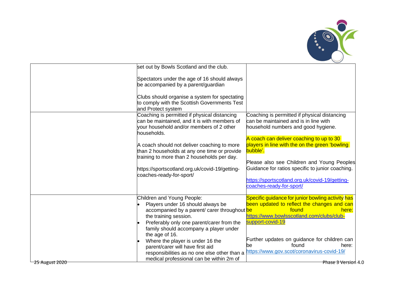

|                | set out by Bowls Scotland and the club.                                                                                                                 |                                                                                                                              |
|----------------|---------------------------------------------------------------------------------------------------------------------------------------------------------|------------------------------------------------------------------------------------------------------------------------------|
|                | Spectators under the age of 16 should always<br>be accompanied by a parent/guardian                                                                     |                                                                                                                              |
|                | Clubs should organise a system for spectating<br>to comply with the Scottish Governments Test<br>and Protect system                                     |                                                                                                                              |
|                | Coaching is permitted if physical distancing<br>can be maintained, and it is with members of<br>your household and/or members of 2 other<br>households. | Coaching is permitted if physical distancing<br>can be maintained and is in line with<br>household numbers and good hygiene. |
|                | A coach should not deliver coaching to more<br>than 2 households at any one time or provide<br>training to more than 2 households per day.              | A coach can deliver coaching to up to 30<br>players in line with the on the green 'bowling<br>bubble'.                       |
|                | https://sportscotland.org.uk/covid-19/getting-<br>coaches-ready-for-sport/                                                                              | Please also see Children and Young Peoples<br>Guidance for ratios specific to junior coaching.                               |
|                |                                                                                                                                                         | https://sportscotland.org.uk/covid-19/getting-<br>coaches-ready-for-sport/                                                   |
|                | Children and Young People:                                                                                                                              | Specific guidance for junior bowling activity has                                                                            |
|                | Players under 16 should always be<br>accompanied by a parent/ carer throughout be<br>the training session.                                              | been updated to reflect the changes and can<br>found<br>here:<br>https://www.bowlsscotland.com/clubs/club-                   |
|                | Preferably only one parent/carer from the<br>family should accompany a player under<br>the age of 16.                                                   | support-covid-19                                                                                                             |
|                | Where the player is under 16 the<br>parent/carer will have first aid<br>responsibilities as no one else other than a                                    | Further updates on guidance for children can<br>found<br>here:<br>be<br>https://www.gov.scot/coronavirus-covid-19/           |
| 25 August 2020 | medical professional can be within 2m of                                                                                                                | Phase 3 Version 4.0                                                                                                          |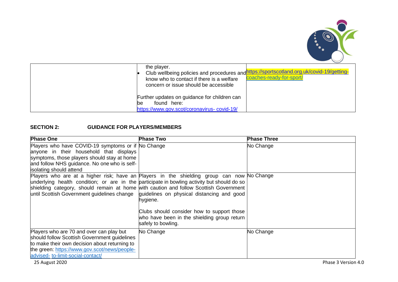

| the player.<br>know who to contact if there is a welfare<br>concern or issue should be accessible | Club wellbeing policies and procedures and https://sportscotland.org.uk/covid-19/getting-<br>coaches-ready-for-sport/ |
|---------------------------------------------------------------------------------------------------|-----------------------------------------------------------------------------------------------------------------------|
| Further updates on guidance for children can<br>found here:<br>bе                                 |                                                                                                                       |
| https://www.gov.scot/coronavirus-covid-19/                                                        |                                                                                                                       |

## **SECTION 2: GUIDANCE FOR PLAYERS/MEMBERS**

| <b>Phase One</b>                                                                                                                                                                                                                                                                                                                  | <b>Phase Two</b>                                                                                                                                                          | <b>Phase Three</b> |
|-----------------------------------------------------------------------------------------------------------------------------------------------------------------------------------------------------------------------------------------------------------------------------------------------------------------------------------|---------------------------------------------------------------------------------------------------------------------------------------------------------------------------|--------------------|
| Players who have COVID-19 symptoms or if No Change<br>anyone in their household that displays<br>symptoms, those players should stay at home<br>and follow NHS guidance. No one who is self-<br>isolating should attend                                                                                                           |                                                                                                                                                                           | No Change          |
| Players who are at a higher risk; have an Players in the shielding group can now No Change<br>underlying health condition; or are in the participate in bowling activity but should do so<br>shielding category, should remain at home with caution and follow Scottish Government<br>until Scottish Government guidelines change | guidelines on physical distancing and good<br>hygiene.<br>Clubs should consider how to support those<br>who have been in the shielding group return<br>safely to bowling. |                    |
| Players who are 70 and over can play but<br>should follow Scottish Government guidelines<br>to make their own decision about returning to<br>the green: https://www.gov.scot/news/people-<br>advised-to-limit-social-contact/                                                                                                     | No Change                                                                                                                                                                 | No Change          |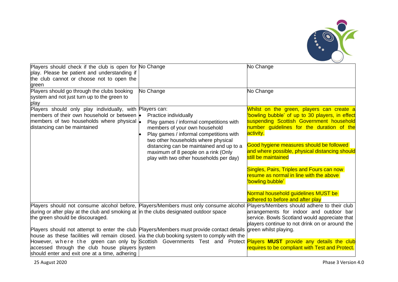

| Players should check if the club is open for No Change<br>play. Please be patient and understanding if<br>the club cannot or choose not to open the<br>green                                                                                                                                                                                                                                                   |                                                                                                                                                                                                                                                                                                                   | No Change                                                                                                                                                                                                                                                                                                                                                                                                                                                                  |
|----------------------------------------------------------------------------------------------------------------------------------------------------------------------------------------------------------------------------------------------------------------------------------------------------------------------------------------------------------------------------------------------------------------|-------------------------------------------------------------------------------------------------------------------------------------------------------------------------------------------------------------------------------------------------------------------------------------------------------------------|----------------------------------------------------------------------------------------------------------------------------------------------------------------------------------------------------------------------------------------------------------------------------------------------------------------------------------------------------------------------------------------------------------------------------------------------------------------------------|
| Players should go through the clubs booking<br>system and not just turn up to the green to<br>play                                                                                                                                                                                                                                                                                                             | No Change                                                                                                                                                                                                                                                                                                         | No Change                                                                                                                                                                                                                                                                                                                                                                                                                                                                  |
| Players should only play individually, with Players can:<br>members of their own household or between  .<br>members of two households where physical  .<br>distancing can be maintained                                                                                                                                                                                                                        | Practice individually<br>Play games / informal competitions with<br>members of your own household<br>Play games / informal competitions with<br>two other households where physical<br>distancing can be maintained and up to a<br>maximum of 8 people on a rink (Only<br>play with two other households per day) | Whilst on the green, players can create a<br>'bowling bubble' of up to 30 players, in effect<br>suspending Scottish Government household<br>number guidelines for the duration of the<br>activity.<br>Good hygiene measures should be followed<br>and where possible, physical distancing should<br>still be maintained<br>Singles, Pairs, Triples and Fours can now<br>resume as normal in line with the above<br>'bowling bubble'<br>Normal household guidelines MUST be |
| Players should not consume alcohol before, Players/Members must only consume alcohol<br>during or after play at the club and smoking at in the clubs designated outdoor space<br>the green should be discouraged.<br>Players should not attempt to enter the club Players/Members must provide contact details<br>house as these facilities will remain closed. Via the club booking system to comply with the |                                                                                                                                                                                                                                                                                                                   | adhered to before and after play<br>Players/Members should adhere to their club<br>arrangements for indoor and outdoor bar<br>service. Bowls Scotland would appreciate that<br>players continue to not drink on or around the<br>green whilst playing.                                                                                                                                                                                                                     |
| accessed through the club house players system<br>should enter and exit one at a time, adhering                                                                                                                                                                                                                                                                                                                |                                                                                                                                                                                                                                                                                                                   | However, where the green can only by Scottish Governments Test and Protect <mark>Players <b>MUST</b> provide any details the club</mark><br>requires to be compliant with Test and Protect.                                                                                                                                                                                                                                                                                |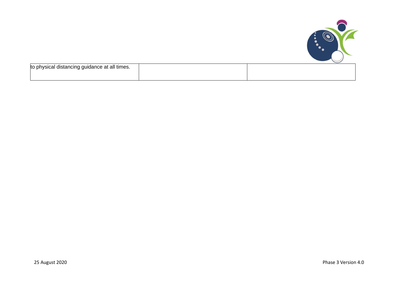

| to physical distancing guidance at all times. |  |
|-----------------------------------------------|--|
|                                               |  |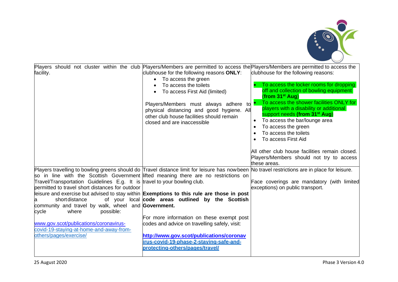

| Players should not cluster within the club Players/Members are permitted to access the Players/Members are permitted to access the<br>facility.                                                                                                                                                                                                                                                                                                                                                                                                                                                                                                                                         | clubhouse for the following reasons ONLY:<br>To access the green<br>$\bullet$<br>To access the toilets<br>To access First Aid (limited)<br>Players/Members must always adhere<br>to<br>physical distancing and good hygiene. All<br>other club house facilities should remain<br>closed and are inaccessible | clubhouse for the following reasons:<br>To access the locker rooms for dropping<br>off and collection of bowling equipment<br>(from 31 <sup>st</sup> Aug)<br>To access the shower facilities ONLY for<br>players with a disability or additional<br>support needs (from 31 <sup>st</sup> Aug)<br>To access the bar/lounge area<br>$\bullet$<br>To access the green<br>$\bullet$<br>To access the toilets<br>$\bullet$<br>To access First Aid |
|-----------------------------------------------------------------------------------------------------------------------------------------------------------------------------------------------------------------------------------------------------------------------------------------------------------------------------------------------------------------------------------------------------------------------------------------------------------------------------------------------------------------------------------------------------------------------------------------------------------------------------------------------------------------------------------------|--------------------------------------------------------------------------------------------------------------------------------------------------------------------------------------------------------------------------------------------------------------------------------------------------------------|----------------------------------------------------------------------------------------------------------------------------------------------------------------------------------------------------------------------------------------------------------------------------------------------------------------------------------------------------------------------------------------------------------------------------------------------|
|                                                                                                                                                                                                                                                                                                                                                                                                                                                                                                                                                                                                                                                                                         |                                                                                                                                                                                                                                                                                                              | All other club house facilities remain closed.<br>Players/Members should not try to access<br>these areas.                                                                                                                                                                                                                                                                                                                                   |
| Players travelling to bowling greens should do Travel distance limit for leisure has nowbeen No travel restrictions are in place for leisure.<br>so in line with the Scottish Government lifted meaning there are no restrictions on<br>Travel/Transportation Guidelines E.g. It is travel to your bowling club.<br>permitted to travel short distances for outdoor<br>leisure and exercise but advised to stay within Exemptions to this rule are those in post<br>short distance<br>community and travel by walk, wheel and Government.<br>where<br>possible:<br>cycle<br>www.gov.scot/publications/coronavirus-<br>covid-19-staying-at-home-and-away-from-<br>others/pages/exercise/ | of your local code areas outlined by the Scottish<br>For more information on these exempt post<br>codes and advice on travelling safely, visit:<br>http://www.gov.scot/publications/coronav<br>irus-covid-19-phase-2-staving-safe-and-<br>protecting-others/pages/travel/                                    | Face coverings are mandatory (with limited<br>exceptions) on public transport.                                                                                                                                                                                                                                                                                                                                                               |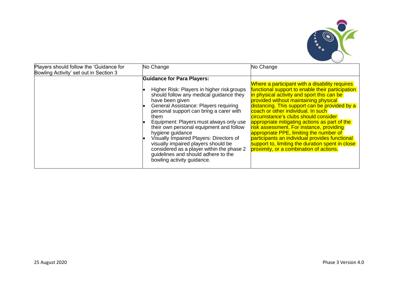

| Players should follow the 'Guidance for<br>Bowling Activity' set out in Section 3 | No Change                                                                                                                                                                                                                                                                                                                                                                                                                                                                                                                                               | No Change                                                                                                                                                                                                                                                                                                                                                                                                                                                                                                                                                                                                         |
|-----------------------------------------------------------------------------------|---------------------------------------------------------------------------------------------------------------------------------------------------------------------------------------------------------------------------------------------------------------------------------------------------------------------------------------------------------------------------------------------------------------------------------------------------------------------------------------------------------------------------------------------------------|-------------------------------------------------------------------------------------------------------------------------------------------------------------------------------------------------------------------------------------------------------------------------------------------------------------------------------------------------------------------------------------------------------------------------------------------------------------------------------------------------------------------------------------------------------------------------------------------------------------------|
|                                                                                   | <b>Guidance for Para Players:</b><br>Higher Risk: Players in higher risk groups<br>should follow any medical guidance they<br>have been given<br>General Assistance: Players requiring<br>personal support can bring a carer with<br>them<br>Equipment: Players must always only use<br>their own personal equipment and follow<br>hygiene guidance<br>Visually Impaired Players: Directors of<br>visually impaired players should be<br>considered as a player within the phase 2<br>guidelines and should adhere to the<br>bowling activity guidance. | Where a participant with a disability requires<br>functional support to enable their participation<br>in physical activity and sport this can be<br>provided without maintaining physical<br>distancing. This support can be provided by a<br>coach or other individual. In such<br>circumstance's clubs should consider<br>appropriate mitigating actions as part of the<br>risk assessment. For instance, providing<br>appropriate PPE, limiting the number of<br>participants an individual provides functional<br>support to, limiting the duration spent in close<br>proximity, or a combination of actions. |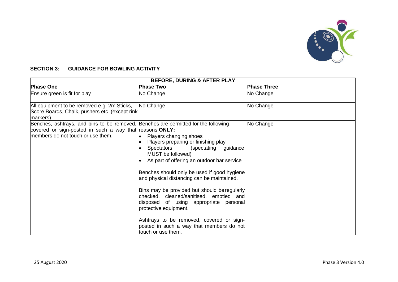

## **SECTION 3: GUIDANCE FOR BOWLING ACTIVITY**

| <b>BEFORE, DURING &amp; AFTER PLAY</b>                                                                                                                                             |                                                                                                                                                                                                                                                                                                                                                                                                                                                                                                                                                    |                    |  |
|------------------------------------------------------------------------------------------------------------------------------------------------------------------------------------|----------------------------------------------------------------------------------------------------------------------------------------------------------------------------------------------------------------------------------------------------------------------------------------------------------------------------------------------------------------------------------------------------------------------------------------------------------------------------------------------------------------------------------------------------|--------------------|--|
| <b>Phase One</b>                                                                                                                                                                   | <b>Phase Two</b>                                                                                                                                                                                                                                                                                                                                                                                                                                                                                                                                   | <b>Phase Three</b> |  |
| Ensure green is fit for play                                                                                                                                                       | No Change                                                                                                                                                                                                                                                                                                                                                                                                                                                                                                                                          | No Change          |  |
| All equipment to be removed e.g. 2m Sticks,<br>Score Boards, Chalk, pushers etc (except rink<br>markers)                                                                           | No Change                                                                                                                                                                                                                                                                                                                                                                                                                                                                                                                                          | No Change          |  |
| Benches, ashtrays, and bins to be removed, Benches are permitted for the following<br>covered or sign-posted in such a way that reasons ONLY:<br>members do not touch or use them. | Players changing shoes<br>Players preparing or finishing play<br>Spectators<br>(spectating<br>guidance<br>MUST be followed)<br>As part of offering an outdoor bar service<br>Benches should only be used if good hygiene<br>and physical distancing can be maintained.<br>Bins may be provided but should be regularly<br>checked, cleaned/sanitised, emptied and<br>disposed of using appropriate personal<br>protective equipment.<br>Ashtrays to be removed, covered or sign-<br>posted in such a way that members do not<br>touch or use them. | No Change          |  |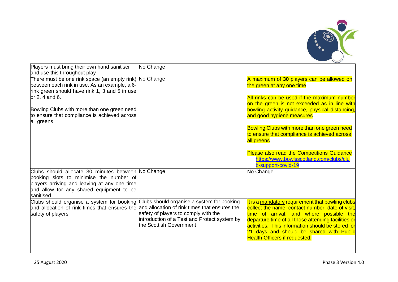

| Players must bring their own hand sanitiser<br>and use this throughout play                                                                                                                            | No Change                                                                                                                                                     |                                                                                                                                                                                                                                                                                                                                                 |
|--------------------------------------------------------------------------------------------------------------------------------------------------------------------------------------------------------|---------------------------------------------------------------------------------------------------------------------------------------------------------------|-------------------------------------------------------------------------------------------------------------------------------------------------------------------------------------------------------------------------------------------------------------------------------------------------------------------------------------------------|
| There must be one rink space (an empty rink) No Change<br>between each rink in use. As an example, a 6-<br>rink green should have rink 1, 3 and 5 in use<br>or 2, 4 and 6.                             |                                                                                                                                                               | A maximum of 30 players can be allowed on<br>the green at any one time                                                                                                                                                                                                                                                                          |
|                                                                                                                                                                                                        |                                                                                                                                                               | All rinks can be used if the maximum number<br>on the green is not exceeded as in line with                                                                                                                                                                                                                                                     |
| Bowling Clubs with more than one green need<br>to ensure that compliance is achieved across<br>all greens                                                                                              |                                                                                                                                                               | bowling activity guidance, physical distancing,<br>and good hygiene measures                                                                                                                                                                                                                                                                    |
|                                                                                                                                                                                                        |                                                                                                                                                               | Bowling Clubs with more than one green need<br>to ensure that compliance is achieved across<br>all greens                                                                                                                                                                                                                                       |
|                                                                                                                                                                                                        |                                                                                                                                                               | Please also read the Competitions Guidance<br>https://www.bowlsscotland.com/clubs/clu<br>b-support-covid-19                                                                                                                                                                                                                                     |
| Clubs should allocate 30 minutes between No Change<br>booking slots to minimise the number of<br>players arriving and leaving at any one time<br>and allow for any shared equipment to be<br>sanitised |                                                                                                                                                               | No Change                                                                                                                                                                                                                                                                                                                                       |
| Clubs should organise a system for booking<br>and allocation of rink times that ensures the and allocation of rink times that ensures the<br>safety of players                                         | Clubs should organise a system for booking<br>safety of players to comply with the<br>introduction of a Test and Protect system by<br>the Scottish Government | It is a mandatory requirement that bowling clubs<br>collect the name, contact number, date of visit,<br>time of arrival, and where possible the<br>departure time of all those attending facilities or<br>activities. This information should be stored for<br>21 days and should be shared with Public<br><b>Health Officers if requested.</b> |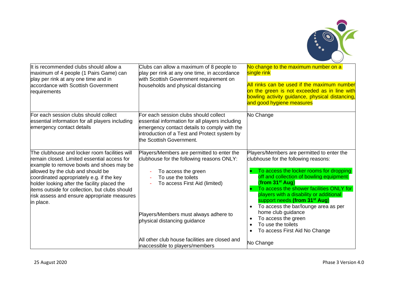

| It is recommended clubs should allow a<br>maximum of 4 people (1 Pairs Game) can<br>play per rink at any one time and in<br>accordance with Scottish Government<br>requirements                                                                                                                                                                                                          | Clubs can allow a maximum of 8 people to<br>play per rink at any one time, in accordance<br>with Scottish Government requirement on<br>households and physical distancing                                                                                                                        | No change to the maximum number on a<br>single rink<br>All rinks can be used if the maximum number<br>on the green is not exceeded as in line with<br>bowling activity guidance, physical distancing,<br>and good hygiene measures                                                                                                                                                                                                                                                                                                          |
|------------------------------------------------------------------------------------------------------------------------------------------------------------------------------------------------------------------------------------------------------------------------------------------------------------------------------------------------------------------------------------------|--------------------------------------------------------------------------------------------------------------------------------------------------------------------------------------------------------------------------------------------------------------------------------------------------|---------------------------------------------------------------------------------------------------------------------------------------------------------------------------------------------------------------------------------------------------------------------------------------------------------------------------------------------------------------------------------------------------------------------------------------------------------------------------------------------------------------------------------------------|
| For each session clubs should collect<br>essential information for all players including<br>emergency contact details                                                                                                                                                                                                                                                                    | For each session clubs should collect<br>essential information for all players including<br>emergency contact details to comply with the<br>introduction of a Test and Protect system by<br>the Scottish Government.                                                                             | No Change                                                                                                                                                                                                                                                                                                                                                                                                                                                                                                                                   |
| The clubhouse and locker room facilities will<br>remain closed. Limited essential access for<br>example to remove bowls and shoes may be<br>allowed by the club and should be<br>coordinated appropriately e.g. if the key<br>holder looking after the facility placed the<br>items outside for collection, but clubs should<br>risk assess and ensure appropriate measures<br>in place. | Players/Members are permitted to enter the<br>clubhouse for the following reasons ONLY:<br>To access the green<br>To use the toilets<br>To access First Aid (limited)<br>Players/Members must always adhere to<br>physical distancing guidance<br>All other club house facilities are closed and | Players/Members are permitted to enter the<br>clubhouse for the following reasons:<br>To access the locker rooms for dropping<br>off and collection of bowling equipment<br>(from 31 <sup>st</sup> Aug)<br>To access the shower facilities ONLY for<br>players with a disability or additional<br>support needs (from 31 <sup>st</sup> Aug)<br>To access the bar/lounge area as per<br>$\bullet$<br>home club guidance<br>To access the green<br>$\bullet$<br>To use the toilets<br>$\bullet$<br>To access First Aid No Change<br>$\bullet$ |
|                                                                                                                                                                                                                                                                                                                                                                                          | inaccessible to players/members                                                                                                                                                                                                                                                                  | No Change                                                                                                                                                                                                                                                                                                                                                                                                                                                                                                                                   |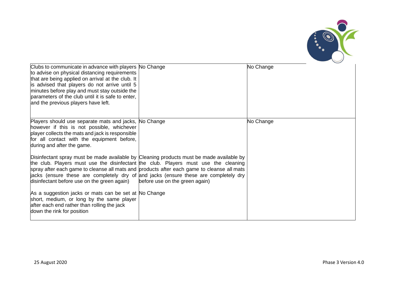

| Clubs to communicate in advance with players No Change<br>to advise on physical distancing requirements<br>that are being applied on arrival at the club. It<br>is advised that players do not arrive until 5<br>minutes before play and must stay outside the<br>parameters of the club until it is safe to enter,<br>and the previous players have left. |                                                                                                                                                                                                                                                                                                                                                                                                         | No Change |
|------------------------------------------------------------------------------------------------------------------------------------------------------------------------------------------------------------------------------------------------------------------------------------------------------------------------------------------------------------|---------------------------------------------------------------------------------------------------------------------------------------------------------------------------------------------------------------------------------------------------------------------------------------------------------------------------------------------------------------------------------------------------------|-----------|
| Players should use separate mats and jacks, No Change<br>however if this is not possible, whichever<br>player collects the mats and jack is responsible<br>for all contact with the equipment before,<br>during and after the game.                                                                                                                        |                                                                                                                                                                                                                                                                                                                                                                                                         | No Change |
| disinfectant before use on the green again)                                                                                                                                                                                                                                                                                                                | Disinfectant spray must be made available by Cleaning products must be made available by<br>the club. Players must use the disinfectant the club. Players must use the cleaning<br>spray after each game to cleanse all mats and products after each game to cleanse all mats<br>jacks (ensure these are completely dry of and jacks (ensure these are completely dry<br>before use on the green again) |           |
| As a suggestion jacks or mats can be set at No Change<br>short, medium, or long by the same player<br>after each end rather than rolling the jack<br>down the rink for position                                                                                                                                                                            |                                                                                                                                                                                                                                                                                                                                                                                                         |           |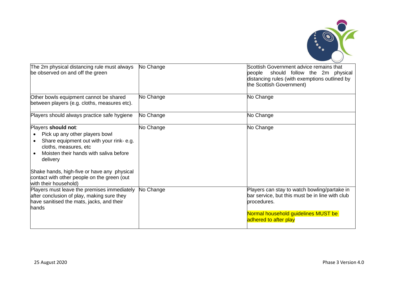

| The 2m physical distancing rule must always<br>be observed on and off the green                                                                                                                                                                                                                        | No Change | Scottish Government advice remains that<br>should follow the 2m physical<br>people<br>distancing rules (with exemptions outlined by<br>the Scottish Government)                |
|--------------------------------------------------------------------------------------------------------------------------------------------------------------------------------------------------------------------------------------------------------------------------------------------------------|-----------|--------------------------------------------------------------------------------------------------------------------------------------------------------------------------------|
| Other bowls equipment cannot be shared<br>between players (e.g. cloths, measures etc).                                                                                                                                                                                                                 | No Change | No Change                                                                                                                                                                      |
| Players should always practice safe hygiene                                                                                                                                                                                                                                                            | No Change | No Change                                                                                                                                                                      |
| Players should not:<br>Pick up any other players bowl<br>Share equipment out with your rink-e.g.<br>cloths, measures, etc<br>Moisten their hands with saliva before<br>delivery<br>Shake hands, high-five or have any physical<br>contact with other people on the green (out<br>with their household) | No Change | No Change                                                                                                                                                                      |
| Players must leave the premises immediately<br>after conclusion of play, making sure they<br>have sanitised the mats, jacks, and their<br>hands                                                                                                                                                        | No Change | Players can stay to watch bowling/partake in<br>bar service, but this must be in line with club<br>procedures.<br>Normal household guidelines MUST be<br>adhered to after play |